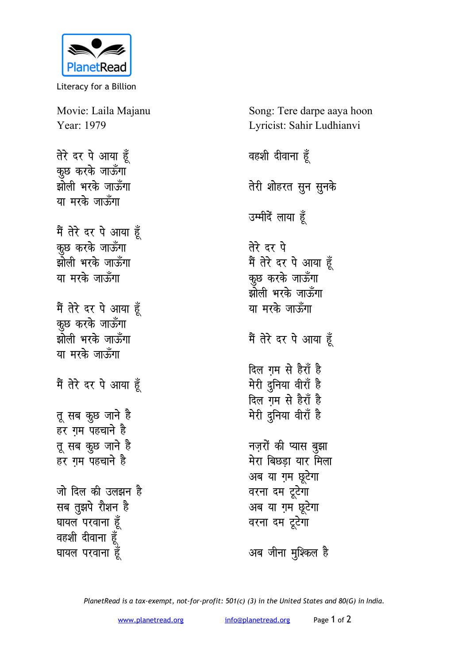

Literacy for a Billion

Movie: Laila Majanu Year: 1979

तेरे दर पे आया हूँ कुछ करके जाऊँगा झोली भरके जाऊँगा या मरके जाऊँगा

मैं तेरे दर पे आया हूँ कुछ करके जाऊँगा झोली भरके जाऊँगा या मरके जाऊँगा

मैं तेरे दर पे आया हूँ कुछ करके जाऊँगा झोली भरके जाऊँगा या मरके जाऊँगा

मैं तेरे दर पे आया हूँ

तू सब कुछ जाने है हर गम पहचाने है तू सब कुछ जाने है हर गम पहचाने है

जो दिल की उलझन है सब तुझपे रोशन है घायल परवाना हूँ वहशी दीवाना हूँ घायल परवाना हूँ

Song: Tere darpe aaya hoon Lyricist: Sahir Ludhianvi

वहशी दीवाना हूँ तेरी शोहरत सून सुनके उम्मीदें लाया हूँ तेरे दर पे मैं तेरे दर पे आया हूँ कुछ करके जाऊँगा झोली भरके जाऊँगा या मरके जाऊँगा मैं तेरे दर पे आया हूँ दिल गम से हैराँ है मेरी दुनिया वीराँ है दिल ग़म से हैराँ है मेरी दुनिया वीराँ है नज़रों की प्यास बुझा मेरा बिछडा यार मिला अब या ग़म छूटेगा वरना दम टूटेगा अब या ग़म छूटेगा वरना दम टूटेगा अब जीना मुश्किल है

PlanetRead is a tax-exempt, not-for-profit: 501(c) (3) in the United States and 80(G) in India.